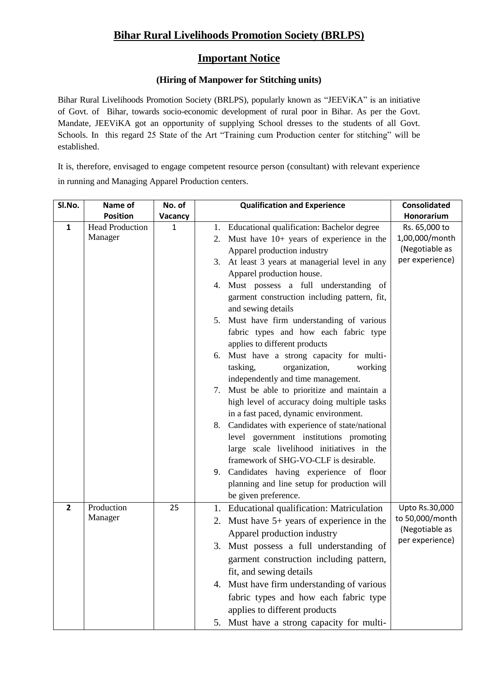## **Bihar Rural Livelihoods Promotion Society (BRLPS)**

### **Important Notice**

### **(Hiring of Manpower for Stitching units)**

Bihar Rural Livelihoods Promotion Society (BRLPS), popularly known as "JEEViKA" is an initiative of Govt. of Bihar, towards socio-economic development of rural poor in Bihar. As per the Govt. Mandate, JEEViKA got an opportunity of supplying School dresses to the students of all Govt. Schools. In this regard 25 State of the Art "Training cum Production center for stitching" will be established.

It is, therefore, envisaged to engage competent resource person (consultant) with relevant experience in running and Managing Apparel Production centers.

| Sl.No.         | Name of                | No. of       | <b>Qualification and Experience</b>                   | <b>Consolidated</b> |
|----------------|------------------------|--------------|-------------------------------------------------------|---------------------|
|                | <b>Position</b>        | Vacancy      |                                                       | Honorarium          |
| $\mathbf{1}$   | <b>Head Production</b> | $\mathbf{1}$ | 1. Educational qualification: Bachelor degree         | Rs. 65,000 to       |
|                | Manager                |              | Must have 10+ years of experience in the<br>2.        | 1,00,000/month      |
|                |                        |              | Apparel production industry                           | (Negotiable as      |
|                |                        |              | At least 3 years at managerial level in any<br>3.     | per experience)     |
|                |                        |              | Apparel production house.                             |                     |
|                |                        |              | 4. Must possess a full understanding of               |                     |
|                |                        |              | garment construction including pattern, fit,          |                     |
|                |                        |              | and sewing details                                    |                     |
|                |                        |              | 5. Must have firm understanding of various            |                     |
|                |                        |              | fabric types and how each fabric type                 |                     |
|                |                        |              | applies to different products                         |                     |
|                |                        |              | Must have a strong capacity for multi-<br>6.          |                     |
|                |                        |              | organization,<br>working<br>tasking,                  |                     |
|                |                        |              | independently and time management.                    |                     |
|                |                        |              | 7. Must be able to prioritize and maintain a          |                     |
|                |                        |              | high level of accuracy doing multiple tasks           |                     |
|                |                        |              | in a fast paced, dynamic environment.                 |                     |
|                |                        |              | 8. Candidates with experience of state/national       |                     |
|                |                        |              |                                                       |                     |
|                |                        |              | level government institutions promoting               |                     |
|                |                        |              | large scale livelihood initiatives in the             |                     |
|                |                        |              | framework of SHG-VO-CLF is desirable.                 |                     |
|                |                        |              | 9. Candidates having experience of floor              |                     |
|                |                        |              | planning and line setup for production will           |                     |
|                |                        |              | be given preference.                                  |                     |
| $\overline{2}$ | Production             | 25           | <b>Educational qualification: Matriculation</b><br>1. | Upto Rs.30,000      |
|                | Manager                |              | Must have $5+$ years of experience in the<br>2.       | to 50,000/month     |
|                |                        |              | Apparel production industry                           | (Negotiable as      |
|                |                        |              | 3. Must possess a full understanding of               | per experience)     |
|                |                        |              | garment construction including pattern,               |                     |
|                |                        |              | fit, and sewing details                               |                     |
|                |                        |              | 4. Must have firm understanding of various            |                     |
|                |                        |              |                                                       |                     |
|                |                        |              | fabric types and how each fabric type                 |                     |
|                |                        |              | applies to different products                         |                     |
|                |                        |              | 5. Must have a strong capacity for multi-             |                     |